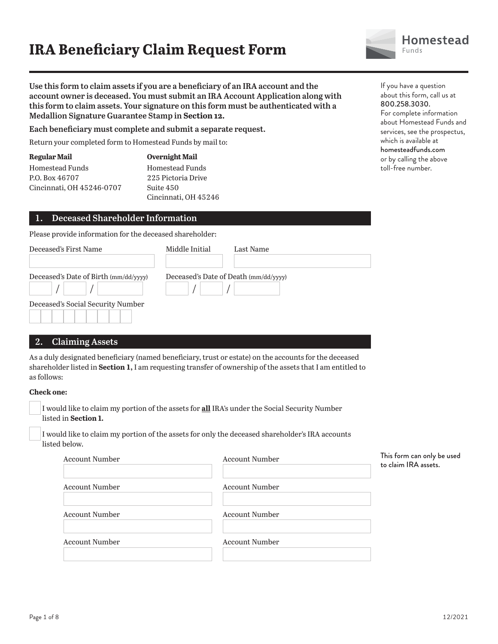# **IRA Beneficiary Claim Request Form**



If you have a question

**Use this form to claim assets if you are a beneficiary of an IRA account and the account owner is deceased. You must submit an IRA Account Application along with this form to claim assets. Your signature on this form must be authenticated with a Medallion Signature Guarantee Stamp in Section 12.**

**Each beneficiary must complete and submit a separate request.**

Return your completed form to Homestead Funds by mail to:

| Regular Mail              | <b>Overnight Mail</b> |
|---------------------------|-----------------------|
| Homestead Funds           | Homestead Funds       |
| P.O. Box 46707            | 225 Pictoria Drive    |
| Cincinnati, OH 45246-0707 | Suite 450             |
|                           | Cincinnati, OH 45246  |

## **1. Deceased Shareholder Information**

Please provide information for the deceased shareholder:

| Deceased's First Name                 | Middle Initial                        | Last Name |
|---------------------------------------|---------------------------------------|-----------|
| Deceased's Date of Birth (mm/dd/yyyy) | Deceased's Date of Death (mm/dd/yyyy) |           |
| Deceased's Social Security Number     |                                       |           |

## **2. Claiming Assets**

As a duly designated beneficiary (named beneficiary, trust or estate) on the accounts for the deceased shareholder listed in **Section 1,** I am requesting transfer of ownership of the assets that I am entitled to as follows:

#### **Check one:**

| I would like to claim my portion of the assets for <b>all</b> IRA's under the Social Security Number |
|------------------------------------------------------------------------------------------------------|
| listed in <b>Section 1.</b>                                                                          |

I would like to claim my portion of the assets for only the deceased shareholder's IRA accounts listed below.

| <b>Account Number</b> | <b>Account Number</b> | This form can only be used<br>to claim IRA assets. |
|-----------------------|-----------------------|----------------------------------------------------|
| <b>Account Number</b> | <b>Account Number</b> |                                                    |
| <b>Account Number</b> | <b>Account Number</b> |                                                    |
| <b>Account Number</b> | <b>Account Number</b> |                                                    |

about this form, call us at 800.258.3030. For complete information about Homestead Funds and services, see the prospectus, which is available at homesteadfunds.com or by calling the above toll-free number.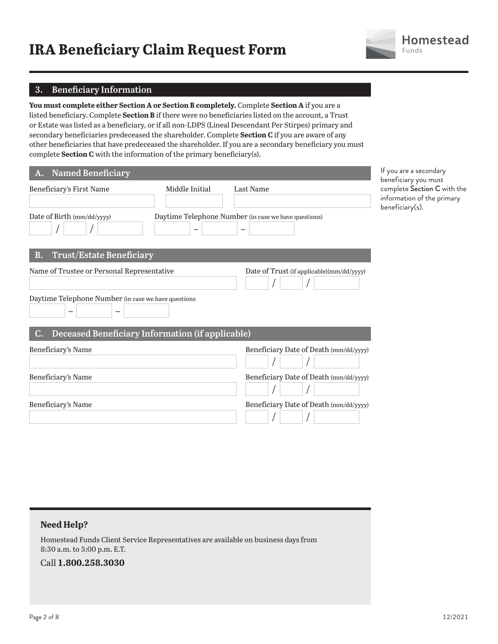# **IRA Beneficiary Claim Request Form**



## **3. Beneficiary Information**

**You must complete either Section A or Section B completely.** Complete **Section A** if you are a listed beneficiary. Complete **Section B** if there were no beneficiaries listed on the account, a Trust or Estate was listed as a beneficiary, or if all non-LDPS (Lineal Descendant Per Stirpes) primary and secondary beneficiaries predeceased the shareholder. Complete **Section C** if you are aware of any other beneficiaries that have predeceased the shareholder. If you are a secondary beneficiary you must complete **Section C** with the information of the primary beneficiary(s).

| <b>Named Beneficiary</b><br>А.                         |                          |                                                                                  | If you are a secondary<br>beneficiary you must                               |
|--------------------------------------------------------|--------------------------|----------------------------------------------------------------------------------|------------------------------------------------------------------------------|
| Beneficiary's First Name                               | Middle Initial           | Last Name                                                                        | complete Section C with the<br>information of the primary<br>beneficiary(s). |
| Date of Birth (mm/dd/yyyy)                             | $\overline{\phantom{0}}$ | Daytime Telephone Number (in case we have questions)<br>$\overline{\phantom{m}}$ |                                                                              |
| <b>Trust/Estate Beneficiary</b><br>В.                  |                          |                                                                                  |                                                                              |
| Name of Trustee or Personal Representative             |                          | Date of Trust (if applicable)(mm/dd/yyyy)                                        |                                                                              |
| Daytime Telephone Number (in case we have questions    |                          |                                                                                  |                                                                              |
| Deceased Beneficiary Information (if applicable)<br>C. |                          |                                                                                  |                                                                              |
| Beneficiary's Name                                     |                          | Beneficiary Date of Death (mm/dd/yyyy)                                           |                                                                              |
| Beneficiary's Name                                     |                          | Beneficiary Date of Death (mm/dd/yyyy)                                           |                                                                              |
| Beneficiary's Name                                     |                          | Beneficiary Date of Death (mm/dd/yyyy)                                           |                                                                              |

## **Need Help?**

Homestead Funds Client Service Representatives are available on business days from 8:30 a.m. to 5:00 p.m. E.T.

Call **1.800.258.3030**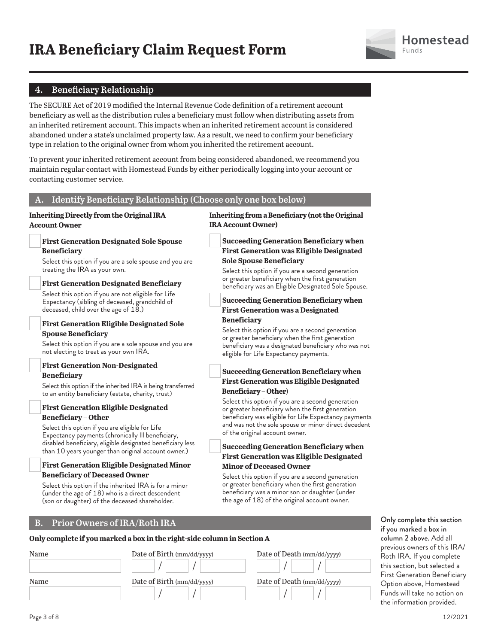

## **4. Beneficiary Relationship**

The SECURE Act of 2019 modified the Internal Revenue Code definition of a retirement account beneficiary as well as the distribution rules a beneficiary must follow when distributing assets from an inherited retirement account. This impacts when an inherited retirement account is considered abandoned under a state's unclaimed property law. As a result, we need to confirm your beneficiary type in relation to the original owner from whom you inherited the retirement account.

To prevent your inherited retirement account from being considered abandoned, we recommend you maintain regular contact with Homestead Funds by either periodically logging into your account or contacting customer service.

#### **A. Identify Beneficiary Relationship (Choose only one box below)**

#### **Inheriting Directly from the Original IRA Account Owner**

#### **First Generation Designated Sole Spouse Beneficiary**

Select this option if you are a sole spouse and you are treating the IRA as your own.

#### **First Generation Designated Beneficiary**

Select this option if you are not eligible for Life Expectancy (sibling of deceased, grandchild of deceased, child over the age of 18.)

### **First Generation Eligible Designated Sole Spouse Beneficiary**

Select this option if you are a sole spouse and you are not electing to treat as your own IRA.

#### **First Generation Non-Designated Beneficiary**

Select this option if the inherited IRA is being transferred to an entity beneficiary (estate, charity, trust)

#### **First Generation Eligible Designated Beneficiary – Other**

Select this option if you are eligible for Life Expectancy payments (chronically Ill beneficiary, disabled beneficiary, eligible designated beneficiary less than 10 years younger than original account owner.)

#### **First Generation Eligible Designated Minor Beneficiary of Deceased Owner**

Select this option if the inherited IRA is for a minor (under the age of 18) who is a direct descendent (son or daughter) of the deceased shareholder.

## **B. Prior Owners of IRA/Roth IRA**

## **Only complete if you marked a box in the right-side column in Section A**

| Name | Date of Birth (mm/dd/yyyy) | Date of Death (mm/dd/yyyy) |
|------|----------------------------|----------------------------|
| Name | Date of Birth (mm/dd/yyyy) | Date of Death (mm/dd/yyyy) |
|      |                            |                            |

## **Inheriting from a Beneficiary (not the Original IRA Account Owner)**

## **Succeeding Generation Beneficiary when First Generation was Eligible Designated Sole Spouse Beneficiary**

Select this option if you are a second generation or greater beneficiary when the first generation beneficiary was an Eligible Designated Sole Spouse.

#### **Succeeding Generation Beneficiary when First Generation was a Designated Beneficiary**

Select this option if you are a second generation or greater beneficiary when the first generation beneficiary was a designated beneficiary who was not eligible for Life Expectancy payments.

#### **Succeeding Generation Beneficiary when First Generation was Eligible Designated Beneficiary – Other**)

Select this option if you are a second generation or greater beneficiary when the first generation beneficiary was eligible for Life Expectancy payments and was not the sole spouse or minor direct decedent of the original account owner.

### **Succeeding Generation Beneficiary when First Generation was Eligible Designated Minor of Deceased Owner**

Select this option if you are a second generation or greater beneficiary when the first generation beneficiary was a minor son or daughter (under the age of 18) of the original account owner.

> Only complete this section if you marked a box in column 2 above. Add all previous owners of this IRA/ Roth IRA. If you complete this section, but selected a First Generation Beneficiary Option above, Homestead Funds will take no action on the information provided.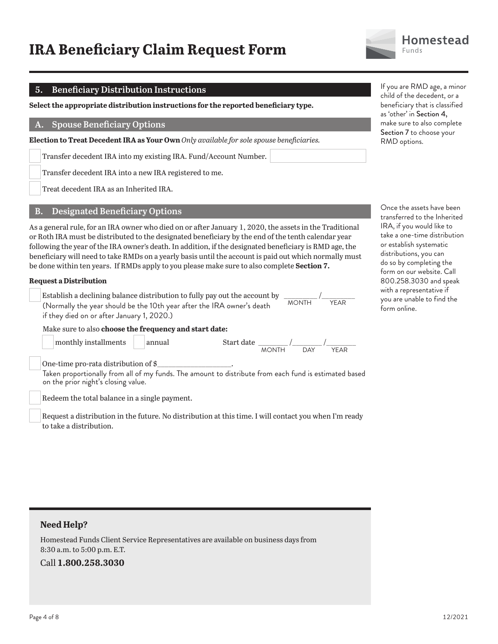# **IRA Beneficiary Claim Request Form**



Funds

**Homestead** 

## **5. Beneficiary Distribution Instructions**

**Select the appropriate distribution instructions for the reported beneficiary type.**

#### **A. Spouse Beneficiary Options**

**Election to Treat Decedent IRA as Your Own** *Only available for sole spouse beneficiaries.*

Transfer decedent IRA into my existing IRA. Fund/Account Number.

Transfer decedent IRA into a new IRA registered to me.

Treat decedent IRA as an Inherited IRA.

#### **B. Designated Beneficiary Options**

As a general rule, for an IRA owner who died on or after January 1, 2020, the assets in the Traditional or Roth IRA must be distributed to the designated beneficiary by the end of the tenth calendar year following the year of the IRA owner's death. In addition, if the designated beneficiary is RMD age, the beneficiary will need to take RMDs on a yearly basis until the account is paid out which normally must be done within ten years. If RMDs apply to you please make sure to also complete **Section 7.**

#### **Request a Distribution**

Establish a declining balance distribution to fully pay out the account by  $\frac{1}{\text{MONTH}}$  / $\frac{1}{\text{MONTH}}$  / $\frac{1}{\text{NFAR}}$ (Normally the year should be the 10th year after the IRA owner's death if they died on or after January 1, 2020.)



#### Make sure to also **choose the frequency and start date:**

| monthly installments | annual | Start date |              |     |      |
|----------------------|--------|------------|--------------|-----|------|
|                      |        |            | <b>MONTH</b> | DAY | YEAR |

One-time pro-rata distribution of \$

 Taken proportionally from all of my funds. The amount to distribute from each fund is estimated based on the prior night's closing value.

Redeem the total balance in a single payment.

 Request a distribution in the future. No distribution at this time. I will contact you when I'm ready to take a distribution.

If you are RMD age, a minor child of the decedent, or a beneficiary that is classified as 'other' in Section 4, make sure to also complete Section 7 to choose your RMD options.

Once the assets have been transferred to the Inherited IRA, if you would like to take a one-time distribution or establish systematic distributions, you can do so by completing the form on our website. Call 800.258.3030 and speak with a representative if you are unable to find the form online.

## **Need Help?**

Homestead Funds Client Service Representatives are available on business days from 8:30 a.m. to 5:00 p.m. E.T.

Call **1.800.258.3030**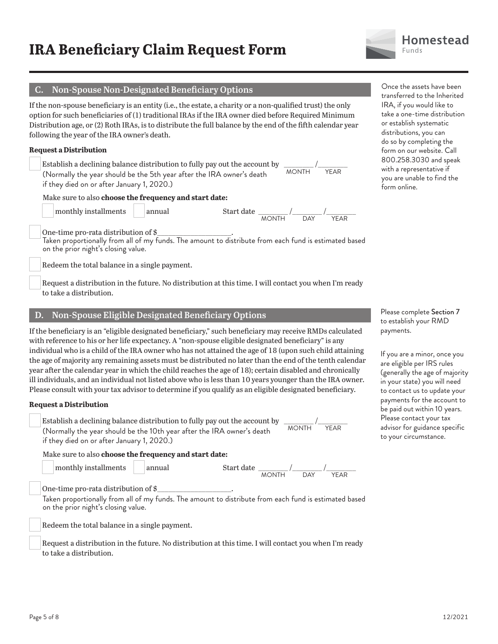

## **C. Non-Spouse Non-Designated Beneficiary Options**

If the non-spouse beneficiary is an entity (i.e., the estate, a charity or a non-qualified trust) the only option for such beneficiaries of (1) traditional IRAs if the IRA owner died before Required Minimum Distribution age, or (2) Roth IRAs, is to distribute the full balance by the end of the fifth calendar year following the year of the IRA owner's death.

#### **Request a Distribution**

Establish a declining balance distribution to fully pay out the account by  $\frac{1}{\text{MONTH}}$  / $\frac{1}{\text{YFAR}}$ (Normally the year should be the 5th year after the IRA owner's death if they died on or after January 1, 2020.)

#### Make sure to also **choose the frequency and start date:**



 monthly installments annual Start date \_\_\_\_\_\_\_\_ /\_\_\_\_\_\_\_\_ /\_\_\_\_\_\_\_\_ MONTH DAY YEAR

One-time pro-rata distribution of \$

 Taken proportionally from all of my funds. The amount to distribute from each fund is estimated based on the prior night's closing value.

Redeem the total balance in a single payment.

 Request a distribution in the future. No distribution at this time. I will contact you when I'm ready to take a distribution.

#### **D. Non-Spouse Eligible Designated Beneficiary Options**

If the beneficiary is an "eligible designated beneficiary," such beneficiary may receive RMDs calculated with reference to his or her life expectancy. A "non-spouse eligible designated beneficiary" is any individual who is a child of the IRA owner who has not attained the age of 18 (upon such child attaining the age of majority any remaining assets must be distributed no later than the end of the tenth calendar year after the calendar year in which the child reaches the age of 18); certain disabled and chronically ill individuals, and an individual not listed above who is less than 10 years younger than the IRA owner. Please consult with your tax advisor to determine if you qualify as an eligible designated beneficiary.

#### **Request a Distribution**

Establish a declining balance distribution to fully pay out the account by  $\frac{1}{\sqrt{N}}$ (Normally the year should be the 10th year after the IRA owner's death if they died on or after January 1, 2020.)

Make sure to also **choose the frequency and start date:**

 monthly installments annual Start date \_\_\_\_\_\_\_\_ /\_\_\_\_\_\_\_\_ /\_\_\_\_\_\_\_\_ MONTH DAY YEAR

One-time pro-rata distribution of  $\frac{1}{2}$ 

 Taken proportionally from all of my funds. The amount to distribute from each fund is estimated based on the prior night's closing value.

Redeem the total balance in a single payment.

 Request a distribution in the future. No distribution at this time. I will contact you when I'm ready to take a distribution.

Once the assets have been transferred to the Inherited IRA, if you would like to take a one-time distribution or establish systematic distributions, you can do so by completing the form on our website. Call 800.258.3030 and speak with a representative if you are unable to find the form online.

Please complete Section 7 to establish your RMD payments.

If you are a minor, once you are eligible per IRS rules (generally the age of majority in your state) you will need to contact us to update your payments for the account to be paid out within 10 years. Please contact your tax advisor for guidance specific to your circumstance.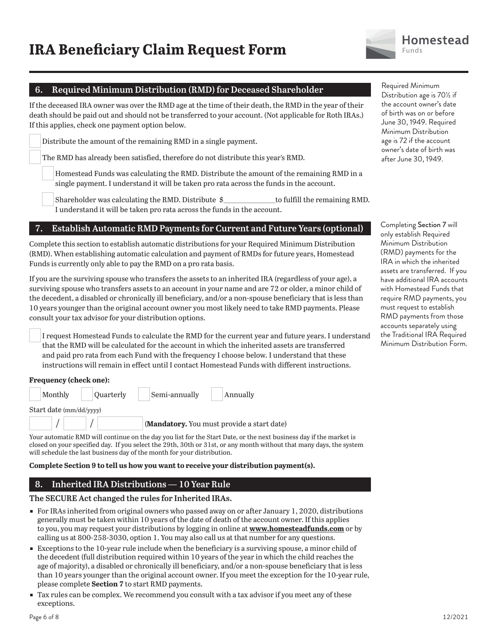

## **6. Required Minimum Distribution (RMD) for Deceased Shareholder**

If the deceased IRA owner was over the RMD age at the time of their death, the RMD in the year of their death should be paid out and should not be transferred to your account. (Not applicable for Roth IRAs.) If this applies, check one payment option below.

Distribute the amount of the remaining RMD in a single payment.

The RMD has already been satisfied, therefore do not distribute this year's RMD.

 Homestead Funds was calculating the RMD. Distribute the amount of the remaining RMD in a single payment. I understand it will be taken pro rata across the funds in the account.

 Shareholder was calculating the RMD. Distribute \$\_\_\_\_\_\_\_\_\_\_\_\_\_\_to fulfill the remaining RMD. I understand it will be taken pro rata across the funds in the account.

#### **7. Establish Automatic RMD Payments for Current and Future Years (optional)**

Complete this section to establish automatic distributions for your Required Minimum Distribution (RMD). When establishing automatic calculation and payment of RMDs for future years, Homestead Funds is currently only able to pay the RMD on a pro rata basis.

If you are the surviving spouse who transfers the assets to an inherited IRA (regardless of your age), a surviving spouse who transfers assets to an account in your name and are 72 or older, a minor child of the decedent, a disabled or chronically ill beneficiary, and/or a non-spouse beneficiary that is less than 10 years younger than the original account owner you most likely need to take RMD payments. Please consult your tax advisor for your distribution options.

 I request Homestead Funds to calculate the RMD for the current year and future years. I understand that the RMD will be calculated for the account in which the inherited assets are transferred and paid pro rata from each Fund with the frequency I choose below. I understand that these instructions will remain in effect until I contact Homestead Funds with different instructions.

# **Frequency (check one):**  Monthly Quarterly Semi-annually Annually Start date (mm/dd/yyyy) (**Mandatory.** You must provide a start date)

Your automatic RMD will continue on the day you list for the Start Date, or the next business day if the market is closed on your specified day. If you select the 29th, 30th or 31st, or any month without that many days, the system will schedule the last business day of the month for your distribution.

#### **Complete Section 9 to tell us how you want to receive your distribution payment(s).**

## **8. Inherited IRA Distributions — 10 Year Rule**

#### **The SECURE Act changed the rules for Inherited IRAs.**

- ɕ For IRAs inherited from original owners who passed away on or after January 1, 2020, distributions generally must be taken within 10 years of the date of death of the account owner. If this applies to you, you may request your distributions by logging in online at **www.homesteadfunds.com** or by calling us at 800-258-3030, option 1. You may also call us at that number for any questions.
- **Exceptions to the 10-year rule include when the beneficiary is a surviving spouse, a minor child of** the decedent (full distribution required within 10 years of the year in which the child reaches the age of majority), a disabled or chronically ill beneficiary, and/or a non-spouse beneficiary that is less than 10 years younger than the original account owner. If you meet the exception for the 10-year rule, please complete **Section 7** to start RMD payments.
- Tax rules can be complex. We recommend you consult with a tax advisor if you meet any of these exceptions.

Required Minimum Distribution age is 70½ if the account owner's date of birth was on or before June 30, 1949. Required Minimum Distribution age is 72 if the account owner's date of birth was after June 30, 1949.

Completing Section 7 will only establish Required Minimum Distribution (RMD) payments for the IRA in which the inherited assets are transferred. If you have additional IRA accounts with Homestead Funds that require RMD payments, you must request to establish RMD payments from those accounts separately using the Traditional IRA Required Minimum Distribution Form.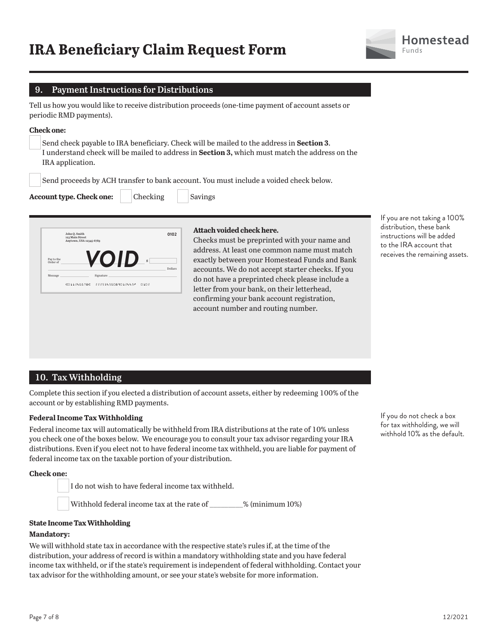

## **9. Payment Instructions for Distributions**

Tell us how you would like to receive distribution proceeds (one-time payment of account assets or periodic RMD payments).

#### **Check one:**

 Send check payable to IRA beneficiary. Check will be mailed to the address in **Section 3**. I understand check will be mailed to address in **Section 3,** which must match the address on the IRA application.

Send proceeds by ACH transfer to bank account. You must include a voided check below.

**Account type. Check one:** Checking Savings

|                        | John Q. Smith<br>123 Main Street<br>Anytown, USA 12345-6789 |           | 0102         |
|------------------------|-------------------------------------------------------------|-----------|--------------|
| Pay to the<br>Order of |                                                             | ZOID      | Ś<br>Dollars |
| Message                |                                                             | Signature |              |
|                        |                                                             |           |              |

#### **Attach voided check here.**

Checks must be preprinted with your name and address. At least one common name must match exactly between your Homestead Funds and Bank accounts. We do not accept starter checks. If you do not have a preprinted check please include a letter from your bank, on their letterhead, confirming your bank account registration, account number and routing number.

If you are not taking a 100% distribution, these bank instructions will be added to the IRA account that receives the remaining assets.

## **10. Tax Withholding**

Complete this section if you elected a distribution of account assets, either by redeeming 100% of the account or by establishing RMD payments.

#### **Federal Income Tax Withholding**

Federal income tax will automatically be withheld from IRA distributions at the rate of 10% unless you check one of the boxes below. We encourage you to consult your tax advisor regarding your IRA distributions. Even if you elect not to have federal income tax withheld, you are liable for payment of federal income tax on the taxable portion of your distribution.

**Check one:**

I do not wish to have federal income tax withheld.

Withhold federal income tax at the rate of \_\_\_\_\_\_\_\_\_% (minimum 10%)

#### **State Income Tax Withholding**

#### **Mandatory:**

We will withhold state tax in accordance with the respective state's rules if, at the time of the distribution, your address of record is within a mandatory withholding state and you have federal income tax withheld, or if the state's requirement is independent of federal withholding. Contact your tax advisor for the withholding amount, or see your state's website for more information.

If you do not check a box for tax withholding, we will withhold 10% as the default.